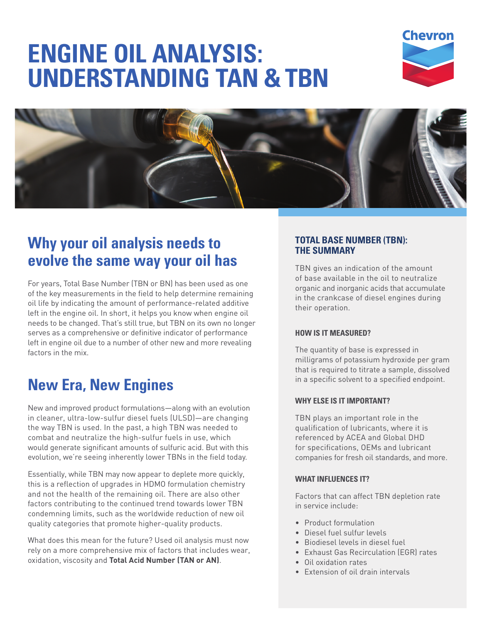# **ENGINE OIL ANALYSIS: UNDERSTANDING TAN & TBN**





# **Why your oil analysis needs to evolve the same way your oil has**

For years, Total Base Number (TBN or BN) has been used as one of the key measurements in the field to help determine remaining oil life by indicating the amount of performance-related additive left in the engine oil. In short, it helps you know when engine oil needs to be changed. That's still true, but TBN on its own no longer serves as a comprehensive or definitive indicator of performance left in engine oil due to a number of other new and more revealing factors in the mix.

# **New Era, New Engines**

New and improved product formulations—along with an evolution in cleaner, ultra-low-sulfur diesel fuels (ULSD)—are changing the way TBN is used. In the past, a high TBN was needed to combat and neutralize the high-sulfur fuels in use, which would generate significant amounts of sulfuric acid. But with this evolution, we're seeing inherently lower TBNs in the field today.

Essentially, while TBN may now appear to deplete more quickly, this is a reflection of upgrades in HDMO formulation chemistry and not the health of the remaining oil. There are also other factors contributing to the continued trend towards lower TBN condemning limits, such as the worldwide reduction of new oil quality categories that promote higher-quality products.

What does this mean for the future? Used oil analysis must now rely on a more comprehensive mix of factors that includes wear, oxidation, viscosity and **Total Acid Number (TAN or AN)**.

#### **TOTAL BASE NUMBER (TBN): THE SUMMARY**

TBN gives an indication of the amount of base available in the oil to neutralize organic and inorganic acids that accumulate in the crankcase of diesel engines during their operation.

#### **HOW IS IT MEASURED?**

The quantity of base is expressed in milligrams of potassium hydroxide per gram that is required to titrate a sample, dissolved in a specific solvent to a specified endpoint.

#### **WHY ELSE IS IT IMPORTANT?**

TBN plays an important role in the qualification of lubricants, where it is referenced by ACEA and Global DHD for specifications, OEMs and lubricant companies for fresh oil standards, and more.

#### **WHAT INFLUENCES IT?**

Factors that can affect TBN depletion rate in service include:

- Product formulation
- Diesel fuel sulfur levels
- Biodiesel levels in diesel fuel
- Exhaust Gas Recirculation (EGR) rates
- Oil oxidation rates
- Extension of oil drain intervals